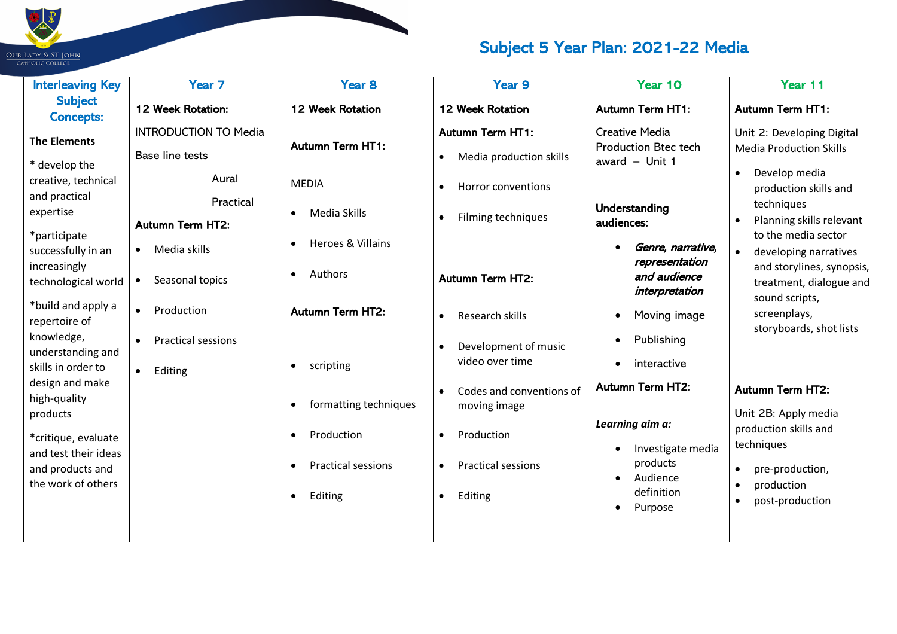

| <b>Interleaving Key</b>                                                                                                              | Year <sub>7</sub>                                                                                                                    | Year <sub>8</sub>                                                                                                               | Year 9                                                                                                                                             | Year 10                                                                                                                             | Year 11                                                                                                                                                                                                                                 |
|--------------------------------------------------------------------------------------------------------------------------------------|--------------------------------------------------------------------------------------------------------------------------------------|---------------------------------------------------------------------------------------------------------------------------------|----------------------------------------------------------------------------------------------------------------------------------------------------|-------------------------------------------------------------------------------------------------------------------------------------|-----------------------------------------------------------------------------------------------------------------------------------------------------------------------------------------------------------------------------------------|
| <b>Subject</b><br><b>Concepts:</b>                                                                                                   | 12 Week Rotation:                                                                                                                    | 12 Week Rotation                                                                                                                | 12 Week Rotation                                                                                                                                   | <b>Autumn Term HT1:</b>                                                                                                             | <b>Autumn Term HT1:</b>                                                                                                                                                                                                                 |
| <b>The Elements</b><br>* develop the<br>creative, technical<br>and practical<br>expertise<br>*participate<br>successfully in an      | <b>INTRODUCTION TO Media</b><br><b>Base line tests</b><br>Aural<br>Practical<br><b>Autumn Term HT2:</b><br>Media skills<br>$\bullet$ | <b>Autumn Term HT1:</b><br><b>MEDIA</b><br>Media Skills<br>$\bullet$<br>Heroes & Villains<br>$\bullet$                          | <b>Autumn Term HT1:</b><br>Media production skills<br>$\bullet$<br>Horror conventions<br>٠<br>Filming techniques<br>$\bullet$                      | <b>Creative Media</b><br><b>Production Btec tech</b><br>award $-$ Unit 1<br><b>Understanding</b><br>audiences:<br>Genre, narrative, | Unit 2: Developing Digital<br><b>Media Production Skills</b><br>Develop media<br>$\bullet$<br>production skills and<br>techniques<br>Planning skills relevant<br>$\bullet$<br>to the media sector<br>developing narratives<br>$\bullet$ |
| increasingly<br>technological world                                                                                                  | Seasonal topics                                                                                                                      | Authors<br>$\bullet$                                                                                                            | <b>Autumn Term HT2:</b>                                                                                                                            | representation<br>and audience<br>interpretation                                                                                    | and storylines, synopsis,<br>treatment, dialogue and                                                                                                                                                                                    |
| *build and apply a<br>repertoire of<br>knowledge,<br>understanding and<br>skills in order to                                         | Production<br>$\bullet$<br><b>Practical sessions</b><br>$\bullet$<br>Editing<br>$\bullet$                                            | <b>Autumn Term HT2:</b><br>scripting<br>$\bullet$                                                                               | Research skills<br>$\bullet$<br>Development of music<br>video over time                                                                            | Moving image<br>Publishing<br>interactive                                                                                           | sound scripts,<br>screenplays,<br>storyboards, shot lists                                                                                                                                                                               |
| design and make<br>high-quality<br>products<br>*critique, evaluate<br>and test their ideas<br>and products and<br>the work of others |                                                                                                                                      | formatting techniques<br>$\bullet$<br>Production<br>$\bullet$<br><b>Practical sessions</b><br>$\bullet$<br>Editing<br>$\bullet$ | Codes and conventions of<br>$\bullet$<br>moving image<br>Production<br>$\bullet$<br><b>Practical sessions</b><br>$\bullet$<br>Editing<br>$\bullet$ | <b>Autumn Term HT2:</b><br>Learning aim a:<br>Investigate media<br>products<br>Audience<br>definition<br>Purpose                    | <b>Autumn Term HT2:</b><br>Unit 2B: Apply media<br>production skills and<br>techniques<br>pre-production,<br>production<br>post-production                                                                                              |

 $\blacksquare$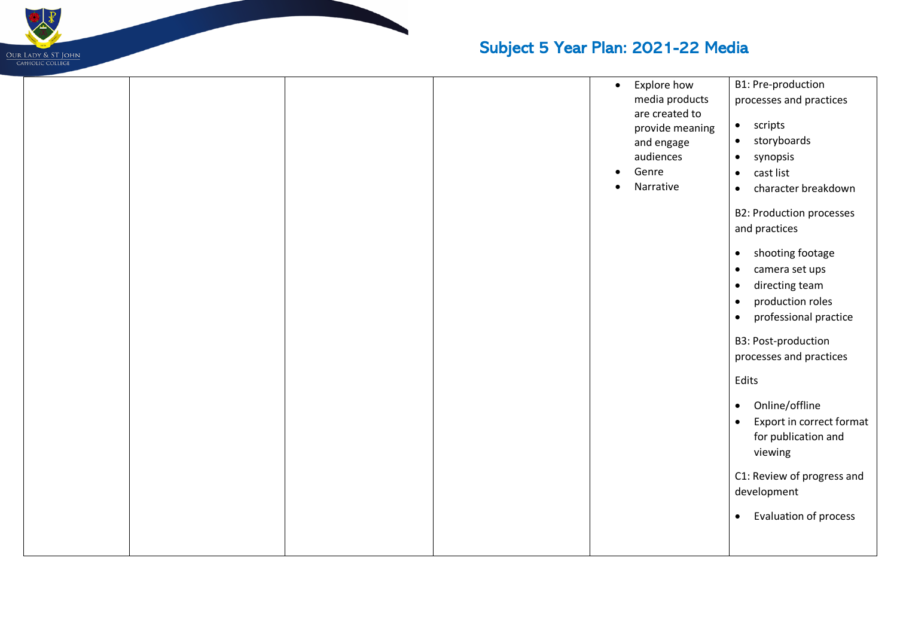

|  |  | $\bullet$ | Explore how     | B1: Pre-production                        |
|--|--|-----------|-----------------|-------------------------------------------|
|  |  |           | media products  | processes and practices                   |
|  |  |           | are created to  |                                           |
|  |  |           | provide meaning | scripts<br>$\bullet$                      |
|  |  |           | and engage      | storyboards<br>$\bullet$                  |
|  |  |           | audiences       | synopsis<br>$\bullet$                     |
|  |  |           | Genre           | cast list<br>$\bullet$                    |
|  |  | $\bullet$ | Narrative       | character breakdown<br>$\bullet$          |
|  |  |           |                 | <b>B2: Production processes</b>           |
|  |  |           |                 | and practices                             |
|  |  |           |                 |                                           |
|  |  |           |                 | shooting footage<br>$\bullet$             |
|  |  |           |                 | camera set ups<br>$\bullet$               |
|  |  |           |                 | directing team<br>$\bullet$               |
|  |  |           |                 | production roles<br>$\bullet$             |
|  |  |           |                 | professional practice<br>$\bullet$        |
|  |  |           |                 | B3: Post-production                       |
|  |  |           |                 | processes and practices                   |
|  |  |           |                 |                                           |
|  |  |           |                 | Edits                                     |
|  |  |           |                 | Online/offline<br>$\bullet$               |
|  |  |           |                 | Export in correct format<br>$\bullet$     |
|  |  |           |                 | for publication and                       |
|  |  |           |                 | viewing                                   |
|  |  |           |                 |                                           |
|  |  |           |                 | C1: Review of progress and<br>development |
|  |  |           |                 |                                           |
|  |  |           |                 | Evaluation of process<br>$\bullet$        |
|  |  |           |                 |                                           |
|  |  |           |                 |                                           |

 $\blacksquare$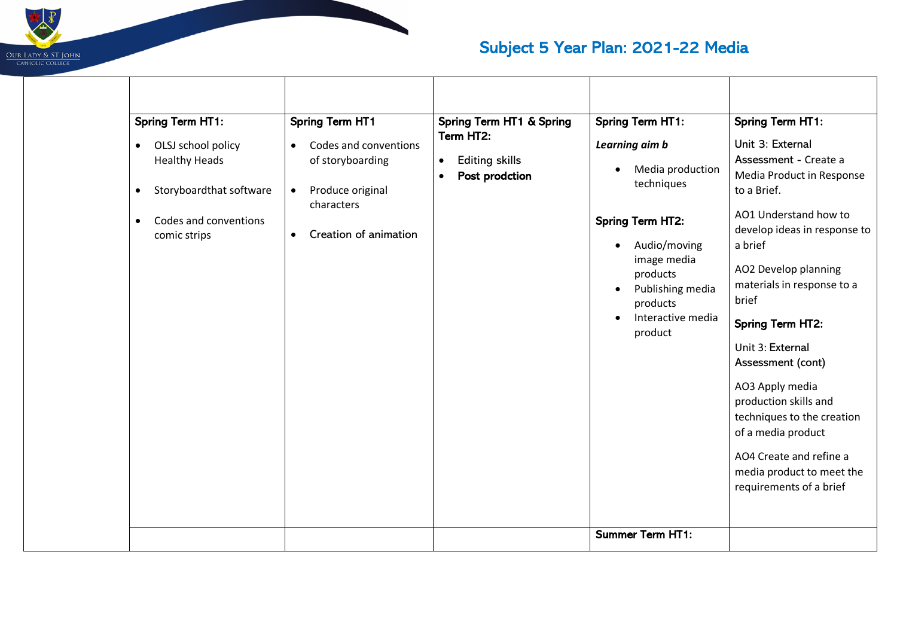

| <b>Spring Term HT1:</b><br>OLSJ school policy<br>$\bullet$<br><b>Healthy Heads</b><br>Storyboardthat software<br>$\bullet$<br>Codes and conventions<br>$\bullet$<br>comic strips | <b>Spring Term HT1</b><br>Codes and conventions<br>$\bullet$<br>of storyboarding<br>Produce original<br>$\bullet$<br>characters<br>Creation of animation<br>$\bullet$ | Spring Term HT1 & Spring<br>Term HT2:<br><b>Editing skills</b><br>$\bullet$<br>Post prodction<br>$\bullet$ | <b>Spring Term HT1:</b><br>Learning aim b<br>Media production<br>techniques<br><b>Spring Term HT2:</b><br>Audio/moving<br>image media<br>products<br>Publishing media<br>products<br>Interactive media<br>product | <b>Spring Term HT1:</b><br>Unit 3: External<br>Assessment - Create a<br>Media Product in Response<br>to a Brief.<br>AO1 Understand how to<br>develop ideas in response to<br>a brief<br>AO2 Develop planning<br>materials in response to a<br>brief<br><b>Spring Term HT2:</b><br>Unit 3: External<br>Assessment (cont)<br>AO3 Apply media<br>production skills and<br>techniques to the creation<br>of a media product |
|----------------------------------------------------------------------------------------------------------------------------------------------------------------------------------|-----------------------------------------------------------------------------------------------------------------------------------------------------------------------|------------------------------------------------------------------------------------------------------------|-------------------------------------------------------------------------------------------------------------------------------------------------------------------------------------------------------------------|-------------------------------------------------------------------------------------------------------------------------------------------------------------------------------------------------------------------------------------------------------------------------------------------------------------------------------------------------------------------------------------------------------------------------|
|                                                                                                                                                                                  |                                                                                                                                                                       |                                                                                                            |                                                                                                                                                                                                                   | AO4 Create and refine a<br>media product to meet the<br>requirements of a brief                                                                                                                                                                                                                                                                                                                                         |
|                                                                                                                                                                                  |                                                                                                                                                                       |                                                                                                            |                                                                                                                                                                                                                   |                                                                                                                                                                                                                                                                                                                                                                                                                         |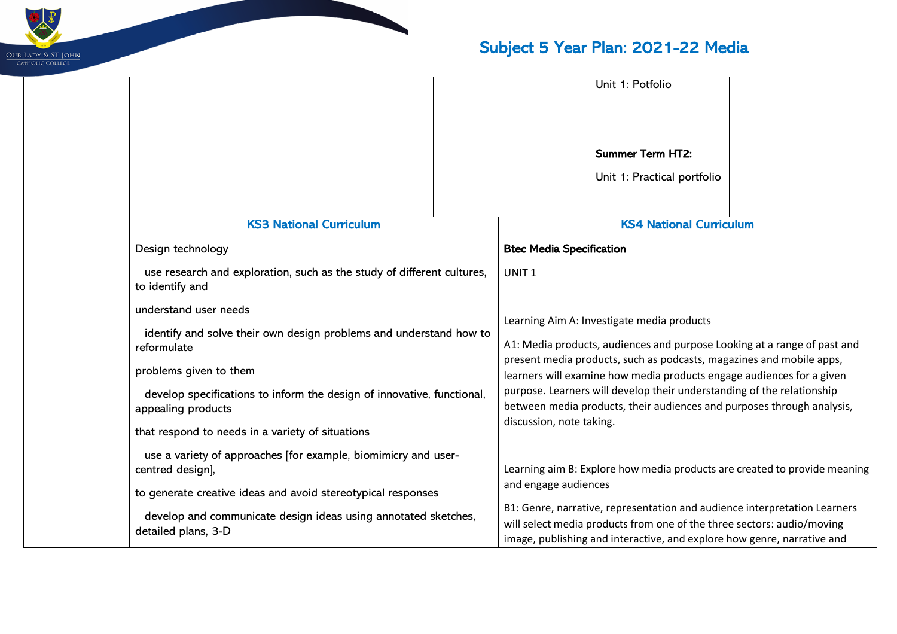

|  |                                                                                                                                                                                                                                                                                                                                  |                                                                |  |                                                                                                                                                                                                                                                                                                                                                                                                                                                                                                                                                              | Unit 1: Potfolio                                                                                                                                                                                                               |  |
|--|----------------------------------------------------------------------------------------------------------------------------------------------------------------------------------------------------------------------------------------------------------------------------------------------------------------------------------|----------------------------------------------------------------|--|--------------------------------------------------------------------------------------------------------------------------------------------------------------------------------------------------------------------------------------------------------------------------------------------------------------------------------------------------------------------------------------------------------------------------------------------------------------------------------------------------------------------------------------------------------------|--------------------------------------------------------------------------------------------------------------------------------------------------------------------------------------------------------------------------------|--|
|  |                                                                                                                                                                                                                                                                                                                                  |                                                                |  |                                                                                                                                                                                                                                                                                                                                                                                                                                                                                                                                                              |                                                                                                                                                                                                                                |  |
|  |                                                                                                                                                                                                                                                                                                                                  |                                                                |  |                                                                                                                                                                                                                                                                                                                                                                                                                                                                                                                                                              | <b>Summer Term HT2:</b>                                                                                                                                                                                                        |  |
|  |                                                                                                                                                                                                                                                                                                                                  |                                                                |  |                                                                                                                                                                                                                                                                                                                                                                                                                                                                                                                                                              | Unit 1: Practical portfolio                                                                                                                                                                                                    |  |
|  |                                                                                                                                                                                                                                                                                                                                  | <b>KS3 National Curriculum</b>                                 |  |                                                                                                                                                                                                                                                                                                                                                                                                                                                                                                                                                              | <b>KS4 National Curriculum</b>                                                                                                                                                                                                 |  |
|  | Design technology                                                                                                                                                                                                                                                                                                                |                                                                |  | <b>Btec Media Specification</b>                                                                                                                                                                                                                                                                                                                                                                                                                                                                                                                              |                                                                                                                                                                                                                                |  |
|  | use research and exploration, such as the study of different cultures,<br>to identify and<br>understand user needs<br>identify and solve their own design problems and understand how to<br>reformulate                                                                                                                          |                                                                |  | UNIT <sub>1</sub>                                                                                                                                                                                                                                                                                                                                                                                                                                                                                                                                            |                                                                                                                                                                                                                                |  |
|  |                                                                                                                                                                                                                                                                                                                                  |                                                                |  | Learning Aim A: Investigate media products<br>A1: Media products, audiences and purpose Looking at a range of past and<br>present media products, such as podcasts, magazines and mobile apps,<br>learners will examine how media products engage audiences for a given<br>purpose. Learners will develop their understanding of the relationship<br>between media products, their audiences and purposes through analysis,<br>discussion, note taking.<br>Learning aim B: Explore how media products are created to provide meaning<br>and engage audiences |                                                                                                                                                                                                                                |  |
|  |                                                                                                                                                                                                                                                                                                                                  |                                                                |  |                                                                                                                                                                                                                                                                                                                                                                                                                                                                                                                                                              |                                                                                                                                                                                                                                |  |
|  | problems given to them<br>develop specifications to inform the design of innovative, functional,<br>appealing products<br>that respond to needs in a variety of situations<br>use a variety of approaches [for example, biomimicry and user-<br>centred design],<br>to generate creative ideas and avoid stereotypical responses |                                                                |  |                                                                                                                                                                                                                                                                                                                                                                                                                                                                                                                                                              |                                                                                                                                                                                                                                |  |
|  |                                                                                                                                                                                                                                                                                                                                  |                                                                |  |                                                                                                                                                                                                                                                                                                                                                                                                                                                                                                                                                              |                                                                                                                                                                                                                                |  |
|  |                                                                                                                                                                                                                                                                                                                                  |                                                                |  |                                                                                                                                                                                                                                                                                                                                                                                                                                                                                                                                                              |                                                                                                                                                                                                                                |  |
|  |                                                                                                                                                                                                                                                                                                                                  |                                                                |  |                                                                                                                                                                                                                                                                                                                                                                                                                                                                                                                                                              |                                                                                                                                                                                                                                |  |
|  |                                                                                                                                                                                                                                                                                                                                  |                                                                |  |                                                                                                                                                                                                                                                                                                                                                                                                                                                                                                                                                              |                                                                                                                                                                                                                                |  |
|  | detailed plans, 3-D                                                                                                                                                                                                                                                                                                              | develop and communicate design ideas using annotated sketches, |  |                                                                                                                                                                                                                                                                                                                                                                                                                                                                                                                                                              | B1: Genre, narrative, representation and audience interpretation Learners<br>will select media products from one of the three sectors: audio/moving<br>image, publishing and interactive, and explore how genre, narrative and |  |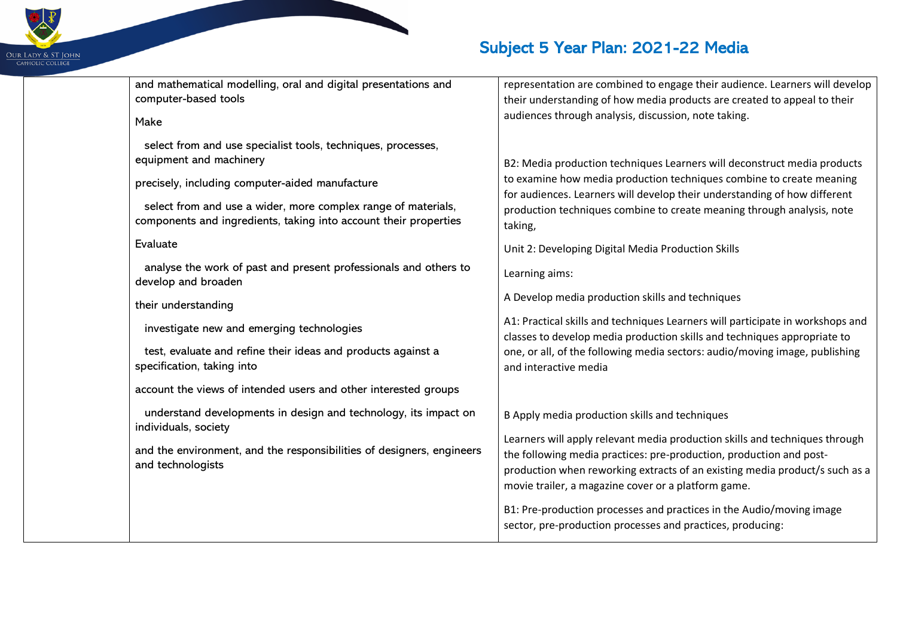

| and mathematical modelling, oral and digital presentations and                                                                                                                                                                                                                              | representation are combined to engage their audience. Learners will develop                                                                                                                                                                                                                                                                                              |
|---------------------------------------------------------------------------------------------------------------------------------------------------------------------------------------------------------------------------------------------------------------------------------------------|--------------------------------------------------------------------------------------------------------------------------------------------------------------------------------------------------------------------------------------------------------------------------------------------------------------------------------------------------------------------------|
| computer-based tools                                                                                                                                                                                                                                                                        | their understanding of how media products are created to appeal to their                                                                                                                                                                                                                                                                                                 |
| Make                                                                                                                                                                                                                                                                                        | audiences through analysis, discussion, note taking.                                                                                                                                                                                                                                                                                                                     |
| select from and use specialist tools, techniques, processes,<br>equipment and machinery<br>precisely, including computer-aided manufacture<br>select from and use a wider, more complex range of materials,<br>components and ingredients, taking into account their properties<br>Evaluate | B2: Media production techniques Learners will deconstruct media products<br>to examine how media production techniques combine to create meaning<br>for audiences. Learners will develop their understanding of how different<br>production techniques combine to create meaning through analysis, note<br>taking,<br>Unit 2: Developing Digital Media Production Skills |
| analyse the work of past and present professionals and others to<br>develop and broaden                                                                                                                                                                                                     | Learning aims:                                                                                                                                                                                                                                                                                                                                                           |
| their understanding                                                                                                                                                                                                                                                                         | A Develop media production skills and techniques                                                                                                                                                                                                                                                                                                                         |
| investigate new and emerging technologies                                                                                                                                                                                                                                                   | A1: Practical skills and techniques Learners will participate in workshops and<br>classes to develop media production skills and techniques appropriate to                                                                                                                                                                                                               |
| test, evaluate and refine their ideas and products against a<br>specification, taking into                                                                                                                                                                                                  | one, or all, of the following media sectors: audio/moving image, publishing<br>and interactive media                                                                                                                                                                                                                                                                     |
| account the views of intended users and other interested groups                                                                                                                                                                                                                             |                                                                                                                                                                                                                                                                                                                                                                          |
| understand developments in design and technology, its impact on<br>individuals, society                                                                                                                                                                                                     | B Apply media production skills and techniques                                                                                                                                                                                                                                                                                                                           |
| and the environment, and the responsibilities of designers, engineers<br>and technologists                                                                                                                                                                                                  | Learners will apply relevant media production skills and techniques through<br>the following media practices: pre-production, production and post-<br>production when reworking extracts of an existing media product/s such as a<br>movie trailer, a magazine cover or a platform game.<br>B1: Pre-production processes and practices in the Audio/moving image         |
|                                                                                                                                                                                                                                                                                             | sector, pre-production processes and practices, producing:                                                                                                                                                                                                                                                                                                               |

and mathematical modelling, oral and digital presentations and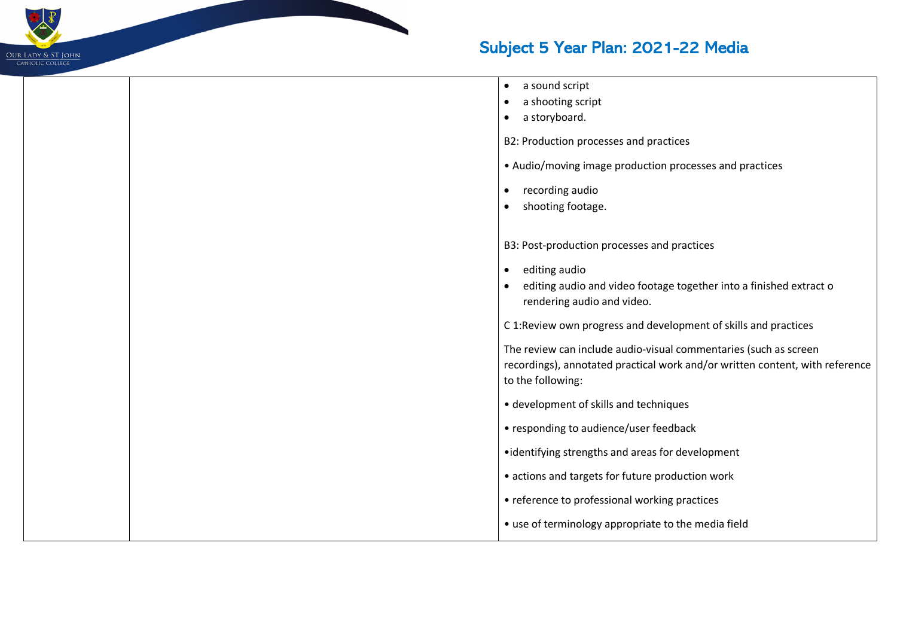

|  | a sound script<br>$\bullet$<br>a shooting script<br>$\bullet$<br>a storyboard.<br>٠<br>B2: Production processes and practices<br>• Audio/moving image production processes and practices                                                 |  |
|--|------------------------------------------------------------------------------------------------------------------------------------------------------------------------------------------------------------------------------------------|--|
|  | recording audio<br>$\bullet$<br>shooting footage.<br>$\bullet$                                                                                                                                                                           |  |
|  | B3: Post-production processes and practices<br>editing audio<br>$\bullet$<br>editing audio and video footage together into a finished extract o<br>rendering audio and video.                                                            |  |
|  | C 1:Review own progress and development of skills and practices<br>The review can include audio-visual commentaries (such as screen<br>recordings), annotated practical work and/or written content, with reference<br>to the following: |  |
|  | • development of skills and techniques<br>• responding to audience/user feedback                                                                                                                                                         |  |
|  | • identifying strengths and areas for development<br>• actions and targets for future production work                                                                                                                                    |  |
|  | • reference to professional working practices<br>• use of terminology appropriate to the media field                                                                                                                                     |  |